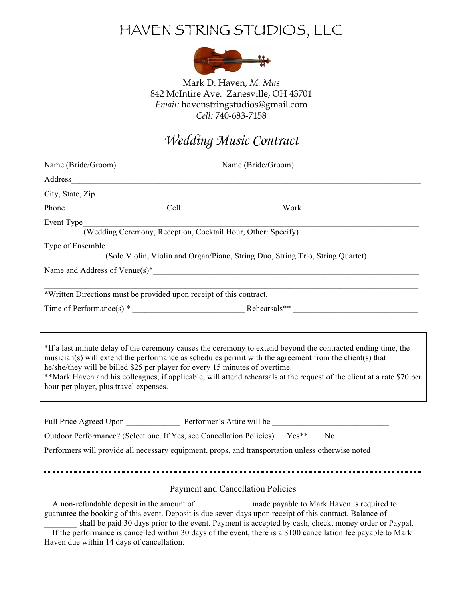## HAVEN STRING STUDIOS, LLC



Mark D. Haven, *M. Mus* 842 McIntire Ave. Zanesville, OH 43701 *Email:* havenstringstudios@gmail.com *Cell:* 740-683-7158

#### *Wedding Music Contract*

| Event Type<br>(Wedding Ceremony, Reception, Cocktail Hour, Other: Specify)                                             |  | <u> 1989 - Johann Barbara, martin de Barbara</u>                                                                                                                                                                                                                                                                                                 |  |  |
|------------------------------------------------------------------------------------------------------------------------|--|--------------------------------------------------------------------------------------------------------------------------------------------------------------------------------------------------------------------------------------------------------------------------------------------------------------------------------------------------|--|--|
| Type of Ensemble                                                                                                       |  | (Solo Violin, Violin and Organ/Piano, String Duo, String Trio, String Quartet)                                                                                                                                                                                                                                                                   |  |  |
|                                                                                                                        |  |                                                                                                                                                                                                                                                                                                                                                  |  |  |
| *Written Directions must be provided upon receipt of this contract.                                                    |  |                                                                                                                                                                                                                                                                                                                                                  |  |  |
| he/she/they will be billed \$25 per player for every 15 minutes of overtime.<br>hour per player, plus travel expenses. |  | *If a last minute delay of the ceremony causes the ceremony to extend beyond the contracted ending time, the<br>musician(s) will extend the performance as schedules permit with the agreement from the client(s) that<br>**Mark Haven and his colleagues, if applicable, will attend rehearsals at the request of the client at a rate \$70 per |  |  |
|                                                                                                                        |  | Outdoor Performance? (Select one. If Yes, see Cancellation Policies) Yes** No<br>Performers will provide all necessary equipment, props, and transportation unless otherwise noted                                                                                                                                                               |  |  |
| <b>Payment and Cancellation Policies</b>                                                                               |  |                                                                                                                                                                                                                                                                                                                                                  |  |  |
|                                                                                                                        |  | A non-refundable deposit in the amount of ____________ made payable to Mark Haven is required to                                                                                                                                                                                                                                                 |  |  |

guarantee the booking of this event. Deposit is due seven days upon receipt of this contract. Balance of shall be paid 30 days prior to the event. Payment is accepted by cash, check, money order or Paypal.

 If the performance is cancelled within 30 days of the event, there is a \$100 cancellation fee payable to Mark Haven due within 14 days of cancellation.